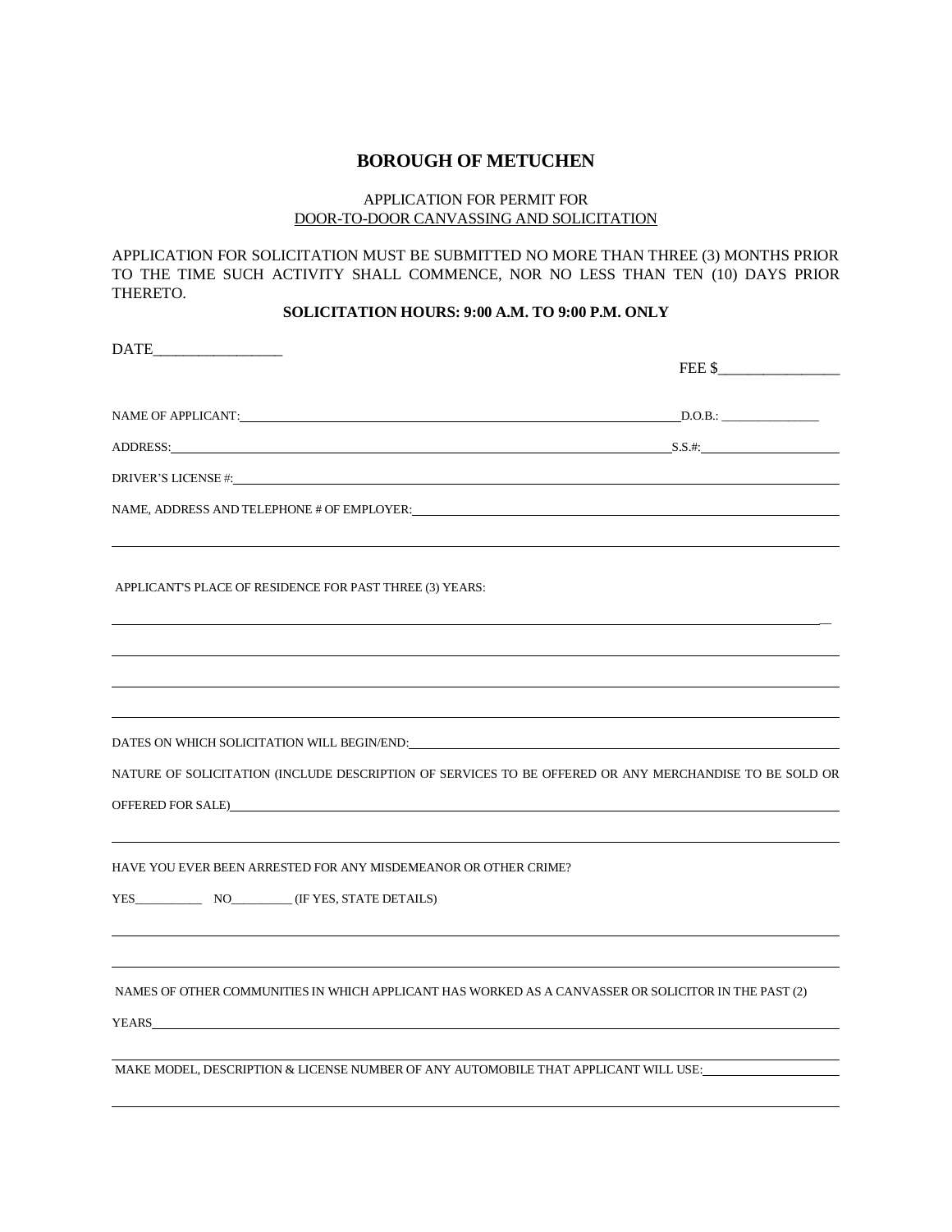### **BOROUGH OF METUCHEN**

#### APPLICATION FOR PERMIT FOR DOOR-TO-DOOR CANVASSING AND SOLICITATION

APPLICATION FOR SOLICITATION MUST BE SUBMITTED NO MORE THAN THREE (3) MONTHS PRIOR TO THE TIME SUCH ACTIVITY SHALL COMMENCE, NOR NO LESS THAN TEN (10) DAYS PRIOR THERETO.

## **SOLICITATION HOURS: 9:00 A.M. TO 9:00 P.M. ONLY**

| $\begin{tabular}{c} \bf{DATE}\hspace{1cm}\hspace{1.2cm}\hspace{1.2cm}\hspace{1.2cm}\hspace{1.2cm}\hspace{1.2cm}\hspace{1.2cm}\hspace{1.2cm}\hspace{1.2cm}\hspace{1.2cm}\hspace{1.2cm}\hspace{1.2cm}\hspace{1.2cm}\hspace{1.2cm}\hspace{1.2cm}\hspace{1.2cm}\hspace{1.2cm}\hspace{1.2cm}\hspace{1.2cm}\hspace{1.2cm}\hspace{1.2cm}\hspace{1.2cm}\hspace{1.2cm}\hspace{1.2cm}\hspace{1.2cm}\hspace{1.2cm}\hs$ |        |
|-------------------------------------------------------------------------------------------------------------------------------------------------------------------------------------------------------------------------------------------------------------------------------------------------------------------------------------------------------------------------------------------------------------|--------|
|                                                                                                                                                                                                                                                                                                                                                                                                             | FEE \$ |
|                                                                                                                                                                                                                                                                                                                                                                                                             |        |
| ADDRESS: S.S.#. S.S. ASSESS:                                                                                                                                                                                                                                                                                                                                                                                |        |
|                                                                                                                                                                                                                                                                                                                                                                                                             |        |
|                                                                                                                                                                                                                                                                                                                                                                                                             |        |
| APPLICANT'S PLACE OF RESIDENCE FOR PAST THREE (3) YEARS:                                                                                                                                                                                                                                                                                                                                                    |        |
|                                                                                                                                                                                                                                                                                                                                                                                                             |        |
|                                                                                                                                                                                                                                                                                                                                                                                                             |        |
|                                                                                                                                                                                                                                                                                                                                                                                                             |        |
| NATURE OF SOLICITATION (INCLUDE DESCRIPTION OF SERVICES TO BE OFFERED OR ANY MERCHANDISE TO BE SOLD OR                                                                                                                                                                                                                                                                                                      |        |
| OFFERED FOR SALE)                                                                                                                                                                                                                                                                                                                                                                                           |        |
| HAVE YOU EVER BEEN ARRESTED FOR ANY MISDEMEANOR OR OTHER CRIME?                                                                                                                                                                                                                                                                                                                                             |        |
| YES NO (IF YES, STATE DETAILS)                                                                                                                                                                                                                                                                                                                                                                              |        |
|                                                                                                                                                                                                                                                                                                                                                                                                             |        |
| NAMES OF OTHER COMMUNITIES IN WHICH APPLICANT HAS WORKED AS A CANVASSER OR SOLICITOR IN THE PAST (2)                                                                                                                                                                                                                                                                                                        |        |
|                                                                                                                                                                                                                                                                                                                                                                                                             |        |
| MAKE MODEL, DESCRIPTION & LICENSE NUMBER OF ANY AUTOMOBILE THAT APPLICANT WILL USE:                                                                                                                                                                                                                                                                                                                         |        |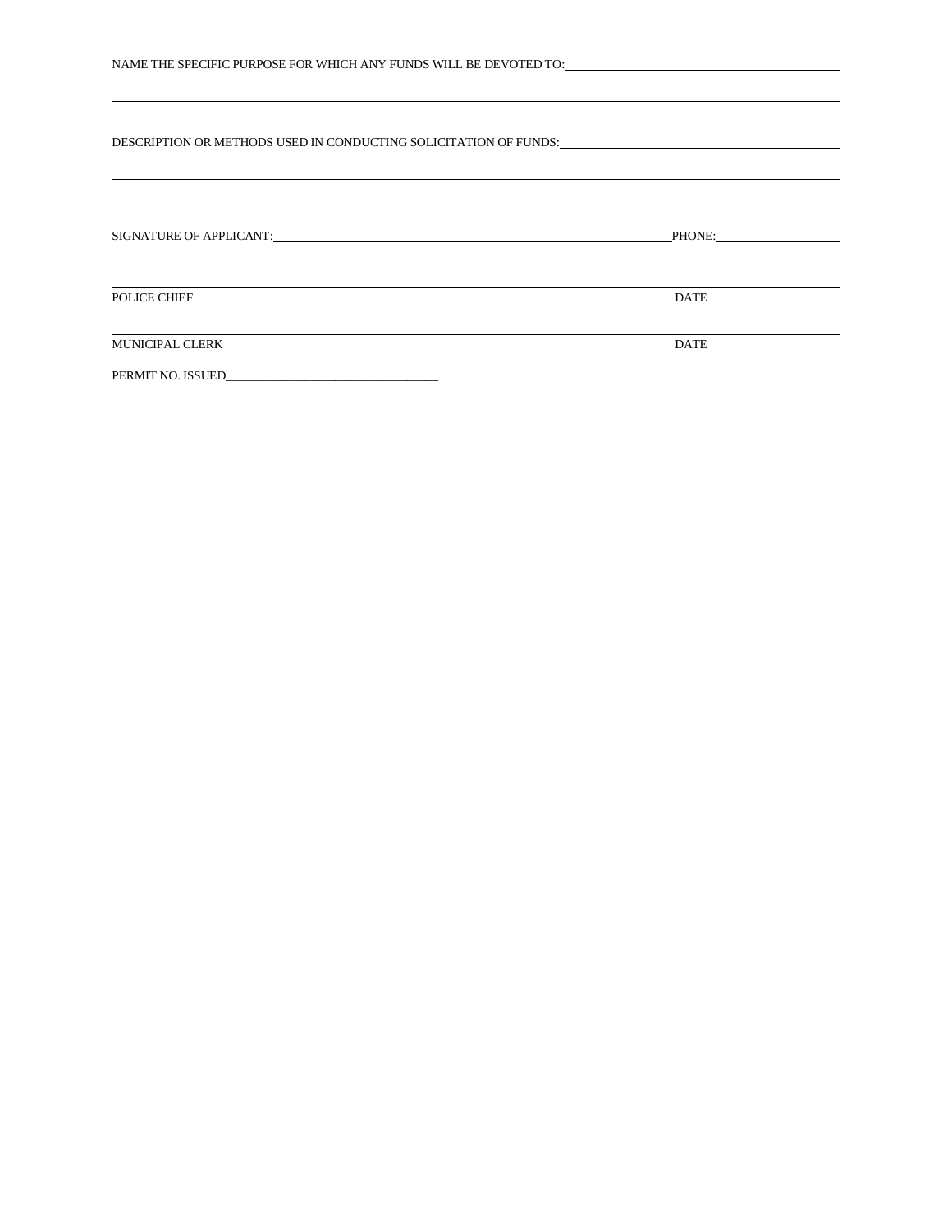| NAME THE SPECIFIC PURPOSE FOR WHICH ANY FUNDS WILL BE DEVOTED TO:___________________________________                                                                                                                           |             |  |
|--------------------------------------------------------------------------------------------------------------------------------------------------------------------------------------------------------------------------------|-------------|--|
| DESCRIPTION OR METHODS USED IN CONDUCTING SOLICITATION OF FUNDS: And the conduction of the conduction of the conduction of the conduction of the conduction of the conduction of the conduction of the conduction of the condu |             |  |
|                                                                                                                                                                                                                                |             |  |
| POLICE CHIEF                                                                                                                                                                                                                   | <b>DATE</b> |  |
| <u> 1989 - Johann Stoff, fransk kongresu i den forske forske forske forske forske forske forske forske forske for</u><br><b>MUNICIPAL CLERK</b>                                                                                | <b>DATE</b> |  |
|                                                                                                                                                                                                                                |             |  |